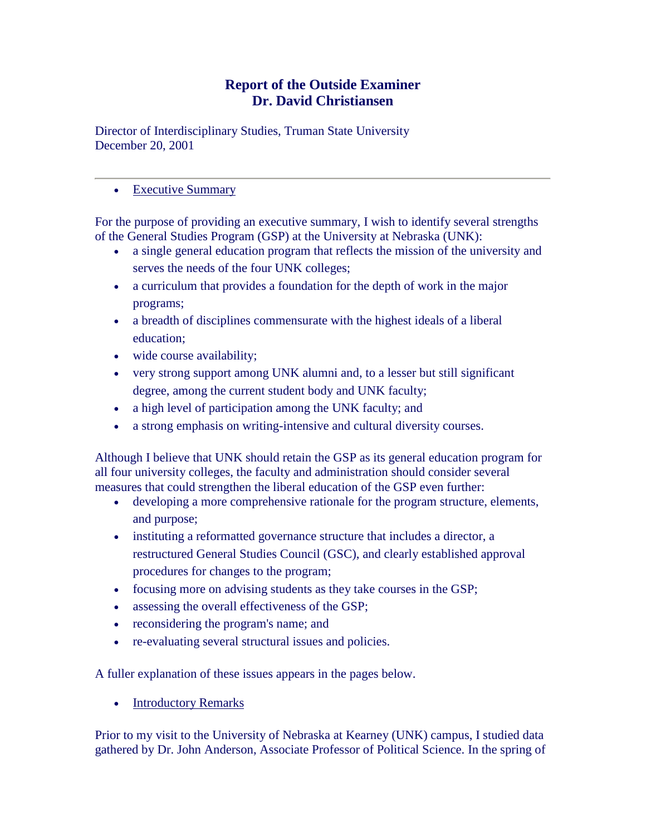# **Report of the Outside Examiner Dr. David Christiansen**

Director of Interdisciplinary Studies, Truman State University December 20, 2001

## • [Executive Summary](http://aaunk.unk.edu/generalstudies/SelfStudyRpt/SelfStudyRpt1.htm)

For the purpose of providing an executive summary, I wish to identify several strengths of the General Studies Program (GSP) at the University at Nebraska (UNK):

- a single general education program that reflects the mission of the university and serves the needs of the four UNK colleges;
- a curriculum that provides a foundation for the depth of work in the major programs;
- a breadth of disciplines commensurate with the highest ideals of a liberal education;
- wide course availability;
- very strong support among UNK alumni and, to a lesser but still significant degree, among the current student body and UNK faculty;
- a high level of participation among the UNK faculty; and
- a strong emphasis on writing-intensive and cultural diversity courses.

Although I believe that UNK should retain the GSP as its general education program for all four university colleges, the faculty and administration should consider several measures that could strengthen the liberal education of the GSP even further:

- developing a more comprehensive rationale for the program structure, elements, and purpose;
- instituting a reformatted governance structure that includes a director, a restructured General Studies Council (GSC), and clearly established approval procedures for changes to the program;
- focusing more on advising students as they take courses in the GSP;
- assessing the overall effectiveness of the GSP;
- reconsidering the program's name; and
- re-evaluating several structural issues and policies.

A fuller explanation of these issues appears in the pages below.

• [Introductory Remarks](http://aaunk.unk.edu/generalstudies/SelfStudyRpt/SelfStudyRpt2.htm)

Prior to my visit to the University of Nebraska at Kearney (UNK) campus, I studied data gathered by Dr. John Anderson, Associate Professor of Political Science. In the spring of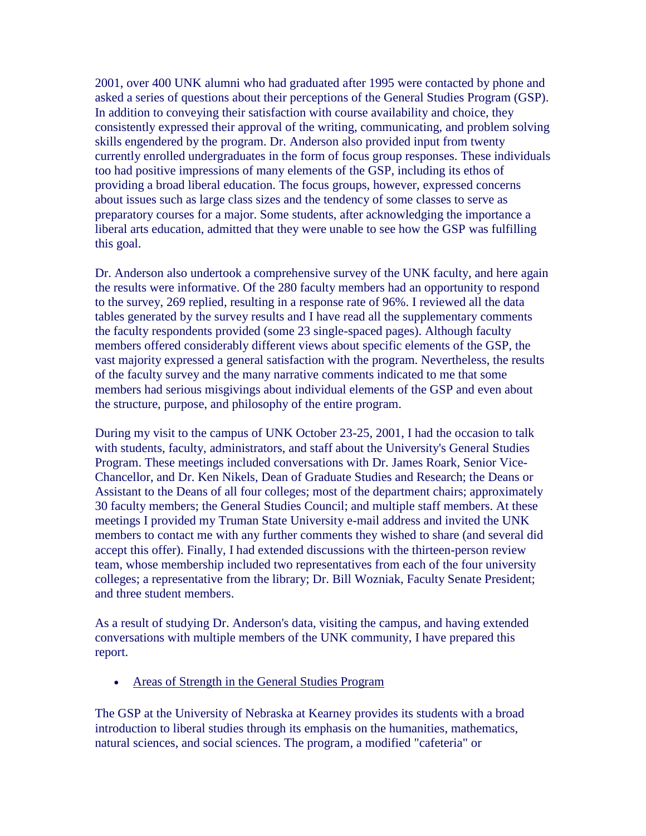2001, over 400 UNK alumni who had graduated after 1995 were contacted by phone and asked a series of questions about their perceptions of the General Studies Program (GSP). In addition to conveying their satisfaction with course availability and choice, they consistently expressed their approval of the writing, communicating, and problem solving skills engendered by the program. Dr. Anderson also provided input from twenty currently enrolled undergraduates in the form of focus group responses. These individuals too had positive impressions of many elements of the GSP, including its ethos of providing a broad liberal education. The focus groups, however, expressed concerns about issues such as large class sizes and the tendency of some classes to serve as preparatory courses for a major. Some students, after acknowledging the importance a liberal arts education, admitted that they were unable to see how the GSP was fulfilling this goal.

Dr. Anderson also undertook a comprehensive survey of the UNK faculty, and here again the results were informative. Of the 280 faculty members had an opportunity to respond to the survey, 269 replied, resulting in a response rate of 96%. I reviewed all the data tables generated by the survey results and I have read all the supplementary comments the faculty respondents provided (some 23 single-spaced pages). Although faculty members offered considerably different views about specific elements of the GSP, the vast majority expressed a general satisfaction with the program. Nevertheless, the results of the faculty survey and the many narrative comments indicated to me that some members had serious misgivings about individual elements of the GSP and even about the structure, purpose, and philosophy of the entire program.

During my visit to the campus of UNK October 23-25, 2001, I had the occasion to talk with students, faculty, administrators, and staff about the University's General Studies Program. These meetings included conversations with Dr. James Roark, Senior Vice-Chancellor, and Dr. Ken Nikels, Dean of Graduate Studies and Research; the Deans or Assistant to the Deans of all four colleges; most of the department chairs; approximately 30 faculty members; the General Studies Council; and multiple staff members. At these meetings I provided my Truman State University e-mail address and invited the UNK members to contact me with any further comments they wished to share (and several did accept this offer). Finally, I had extended discussions with the thirteen-person review team, whose membership included two representatives from each of the four university colleges; a representative from the library; Dr. Bill Wozniak, Faculty Senate President; and three student members.

As a result of studying Dr. Anderson's data, visiting the campus, and having extended conversations with multiple members of the UNK community, I have prepared this report.

• [Areas of Strength in the General Studies Program](http://aaunk.unk.edu/generalstudies/SelfStudyRpt/SelfStudyRpt3.htm)

The GSP at the University of Nebraska at Kearney provides its students with a broad introduction to liberal studies through its emphasis on the humanities, mathematics, natural sciences, and social sciences. The program, a modified "cafeteria" or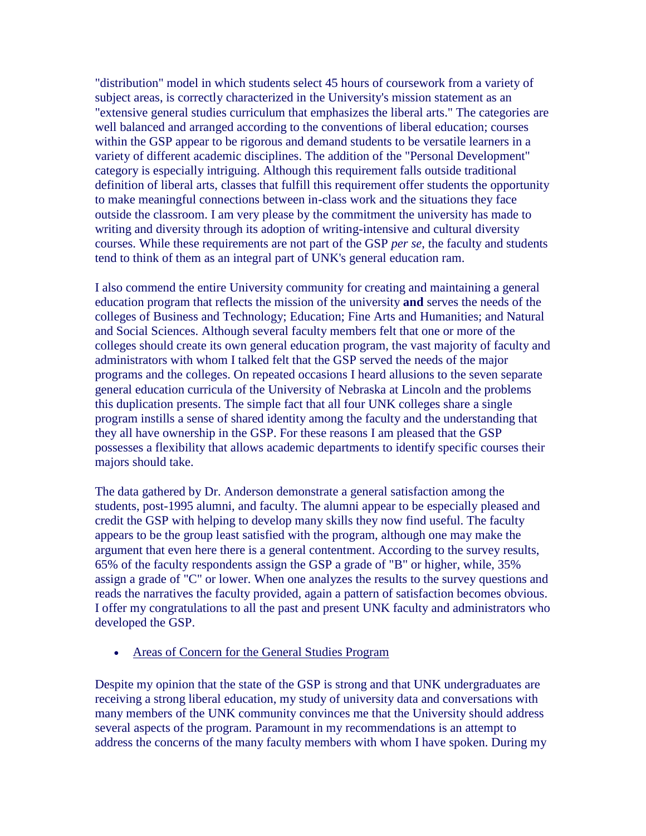"distribution" model in which students select 45 hours of coursework from a variety of subject areas, is correctly characterized in the University's mission statement as an "extensive general studies curriculum that emphasizes the liberal arts." The categories are well balanced and arranged according to the conventions of liberal education; courses within the GSP appear to be rigorous and demand students to be versatile learners in a variety of different academic disciplines. The addition of the "Personal Development" category is especially intriguing. Although this requirement falls outside traditional definition of liberal arts, classes that fulfill this requirement offer students the opportunity to make meaningful connections between in-class work and the situations they face outside the classroom. I am very please by the commitment the university has made to writing and diversity through its adoption of writing-intensive and cultural diversity courses. While these requirements are not part of the GSP *per se*, the faculty and students tend to think of them as an integral part of UNK's general education ram.

I also commend the entire University community for creating and maintaining a general education program that reflects the mission of the university **and** serves the needs of the colleges of Business and Technology; Education; Fine Arts and Humanities; and Natural and Social Sciences. Although several faculty members felt that one or more of the colleges should create its own general education program, the vast majority of faculty and administrators with whom I talked felt that the GSP served the needs of the major programs and the colleges. On repeated occasions I heard allusions to the seven separate general education curricula of the University of Nebraska at Lincoln and the problems this duplication presents. The simple fact that all four UNK colleges share a single program instills a sense of shared identity among the faculty and the understanding that they all have ownership in the GSP. For these reasons I am pleased that the GSP possesses a flexibility that allows academic departments to identify specific courses their majors should take.

The data gathered by Dr. Anderson demonstrate a general satisfaction among the students, post-1995 alumni, and faculty. The alumni appear to be especially pleased and credit the GSP with helping to develop many skills they now find useful. The faculty appears to be the group least satisfied with the program, although one may make the argument that even here there is a general contentment. According to the survey results, 65% of the faculty respondents assign the GSP a grade of "B" or higher, while, 35% assign a grade of "C" or lower. When one analyzes the results to the survey questions and reads the narratives the faculty provided, again a pattern of satisfaction becomes obvious. I offer my congratulations to all the past and present UNK faculty and administrators who developed the GSP.

[Areas of Concern for the General Studies Program](http://aaunk.unk.edu/generalstudies/SelfStudyRpt/SelfStudyRpt4.htm)

Despite my opinion that the state of the GSP is strong and that UNK undergraduates are receiving a strong liberal education, my study of university data and conversations with many members of the UNK community convinces me that the University should address several aspects of the program. Paramount in my recommendations is an attempt to address the concerns of the many faculty members with whom I have spoken. During my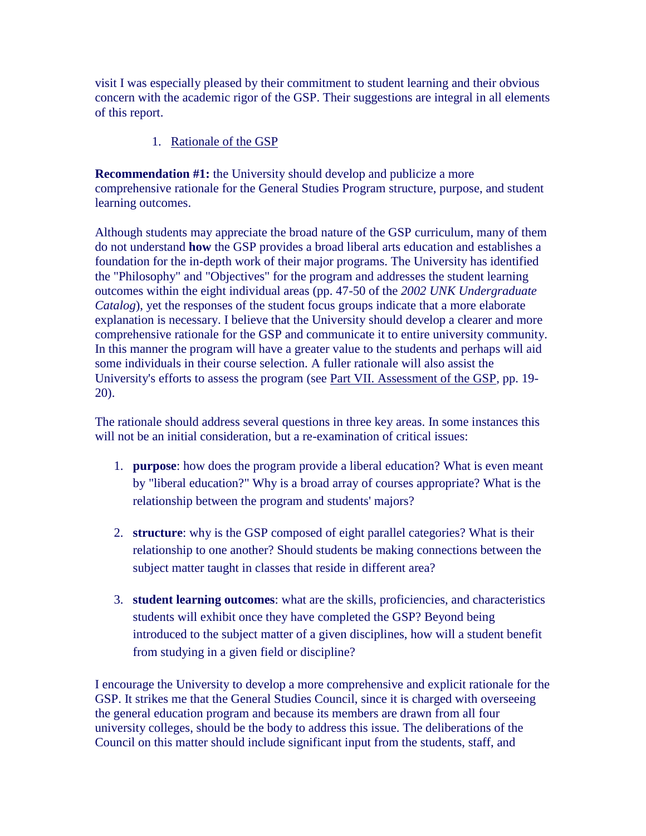visit I was especially pleased by their commitment to student learning and their obvious concern with the academic rigor of the GSP. Their suggestions are integral in all elements of this report.

### 1. [Rationale of the GSP](http://aaunk.unk.edu/generalstudies/SelfStudyRpt/SelfStudyRpt4I.htm)

**Recommendation #1:** the University should develop and publicize a more comprehensive rationale for the General Studies Program structure, purpose, and student learning outcomes.

Although students may appreciate the broad nature of the GSP curriculum, many of them do not understand **how** the GSP provides a broad liberal arts education and establishes a foundation for the in-depth work of their major programs. The University has identified the "Philosophy" and "Objectives" for the program and addresses the student learning outcomes within the eight individual areas (pp. 47-50 of the *2002 UNK Undergraduate Catalog*), yet the responses of the student focus groups indicate that a more elaborate explanation is necessary. I believe that the University should develop a clearer and more comprehensive rationale for the GSP and communicate it to entire university community. In this manner the program will have a greater value to the students and perhaps will aid some individuals in their course selection. A fuller rationale will also assist the University's efforts to assess the program (see [Part VII. Assessment of the GSP,](http://aaunk.unk.edu/generalstudies/SelfStudyRpt/SelfStudyRpt4VII.htm) pp. 19- 20).

The rationale should address several questions in three key areas. In some instances this will not be an initial consideration, but a re-examination of critical issues:

- 1. **purpose**: how does the program provide a liberal education? What is even meant by "liberal education?" Why is a broad array of courses appropriate? What is the relationship between the program and students' majors?
- 2. **structure**: why is the GSP composed of eight parallel categories? What is their relationship to one another? Should students be making connections between the subject matter taught in classes that reside in different area?
- 3. **student learning outcomes**: what are the skills, proficiencies, and characteristics students will exhibit once they have completed the GSP? Beyond being introduced to the subject matter of a given disciplines, how will a student benefit from studying in a given field or discipline?

I encourage the University to develop a more comprehensive and explicit rationale for the GSP. It strikes me that the General Studies Council, since it is charged with overseeing the general education program and because its members are drawn from all four university colleges, should be the body to address this issue. The deliberations of the Council on this matter should include significant input from the students, staff, and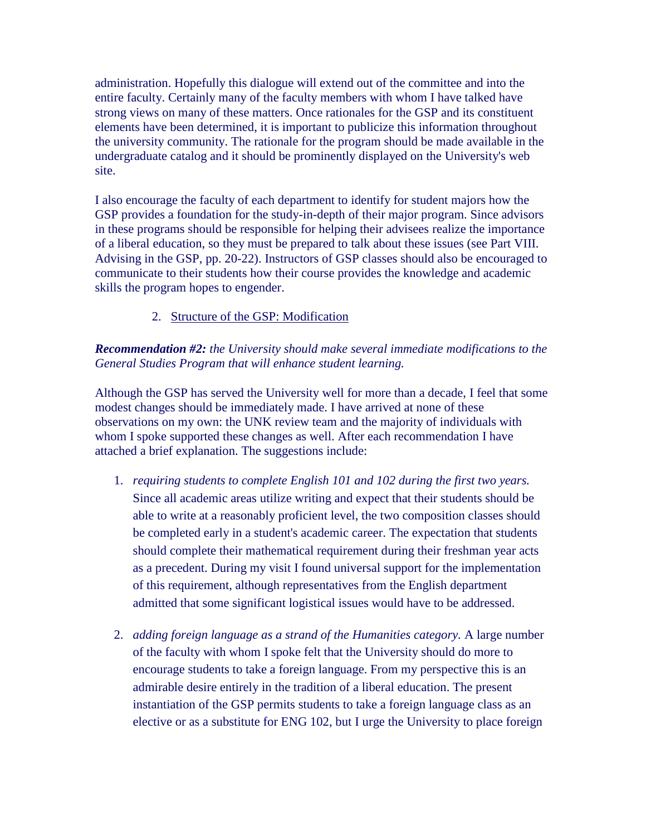administration. Hopefully this dialogue will extend out of the committee and into the entire faculty. Certainly many of the faculty members with whom I have talked have strong views on many of these matters. Once rationales for the GSP and its constituent elements have been determined, it is important to publicize this information throughout the university community. The rationale for the program should be made available in the undergraduate catalog and it should be prominently displayed on the University's web site.

I also encourage the faculty of each department to identify for student majors how the GSP provides a foundation for the study-in-depth of their major program. Since advisors in these programs should be responsible for helping their advisees realize the importance of a liberal education, so they must be prepared to talk about these issues (see Part VIII. Advising in the GSP, pp. 20-22). Instructors of GSP classes should also be encouraged to communicate to their students how their course provides the knowledge and academic skills the program hopes to engender.

## 2. [Structure of the GSP: Modification](http://aaunk.unk.edu/generalstudies/SelfStudyRpt/SelfStudyRpt4II.htm)

### *Recommendation #2: the University should make several immediate modifications to the General Studies Program that will enhance student learning.*

Although the GSP has served the University well for more than a decade, I feel that some modest changes should be immediately made. I have arrived at none of these observations on my own: the UNK review team and the majority of individuals with whom I spoke supported these changes as well. After each recommendation I have attached a brief explanation. The suggestions include:

- 1. *requiring students to complete English 101 and 102 during the first two years.* Since all academic areas utilize writing and expect that their students should be able to write at a reasonably proficient level, the two composition classes should be completed early in a student's academic career. The expectation that students should complete their mathematical requirement during their freshman year acts as a precedent. During my visit I found universal support for the implementation of this requirement, although representatives from the English department admitted that some significant logistical issues would have to be addressed.
- 2. *adding foreign language as a strand of the Humanities category.* A large number of the faculty with whom I spoke felt that the University should do more to encourage students to take a foreign language. From my perspective this is an admirable desire entirely in the tradition of a liberal education. The present instantiation of the GSP permits students to take a foreign language class as an elective or as a substitute for ENG 102, but I urge the University to place foreign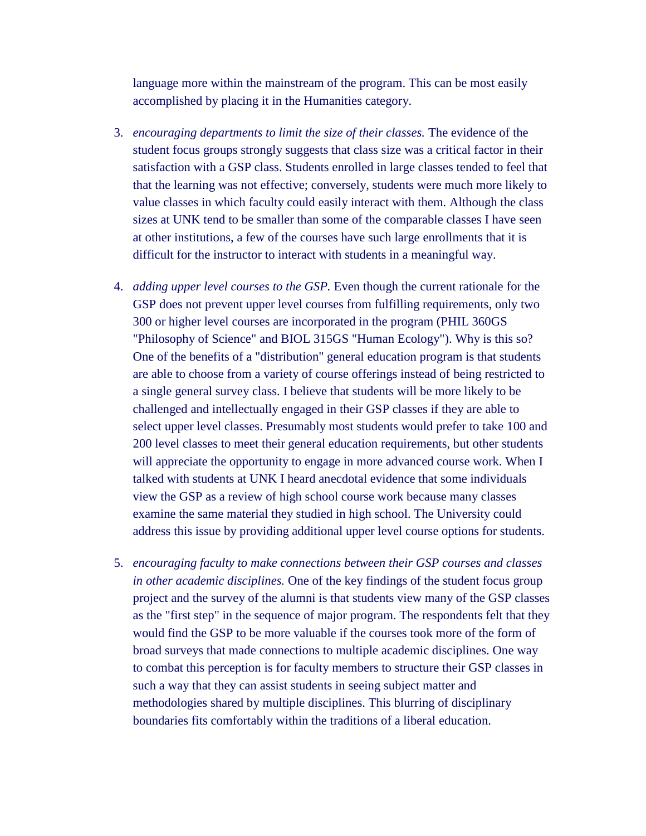language more within the mainstream of the program. This can be most easily accomplished by placing it in the Humanities category.

- 3. *encouraging departments to limit the size of their classes.* The evidence of the student focus groups strongly suggests that class size was a critical factor in their satisfaction with a GSP class. Students enrolled in large classes tended to feel that that the learning was not effective; conversely, students were much more likely to value classes in which faculty could easily interact with them. Although the class sizes at UNK tend to be smaller than some of the comparable classes I have seen at other institutions, a few of the courses have such large enrollments that it is difficult for the instructor to interact with students in a meaningful way.
- 4. *adding upper level courses to the GSP.* Even though the current rationale for the GSP does not prevent upper level courses from fulfilling requirements, only two 300 or higher level courses are incorporated in the program (PHIL 360GS "Philosophy of Science" and BIOL 315GS "Human Ecology"). Why is this so? One of the benefits of a "distribution" general education program is that students are able to choose from a variety of course offerings instead of being restricted to a single general survey class. I believe that students will be more likely to be challenged and intellectually engaged in their GSP classes if they are able to select upper level classes. Presumably most students would prefer to take 100 and 200 level classes to meet their general education requirements, but other students will appreciate the opportunity to engage in more advanced course work. When I talked with students at UNK I heard anecdotal evidence that some individuals view the GSP as a review of high school course work because many classes examine the same material they studied in high school. The University could address this issue by providing additional upper level course options for students.
- 5. *encouraging faculty to make connections between their GSP courses and classes in other academic disciplines.* One of the key findings of the student focus group project and the survey of the alumni is that students view many of the GSP classes as the "first step" in the sequence of major program. The respondents felt that they would find the GSP to be more valuable if the courses took more of the form of broad surveys that made connections to multiple academic disciplines. One way to combat this perception is for faculty members to structure their GSP classes in such a way that they can assist students in seeing subject matter and methodologies shared by multiple disciplines. This blurring of disciplinary boundaries fits comfortably within the traditions of a liberal education.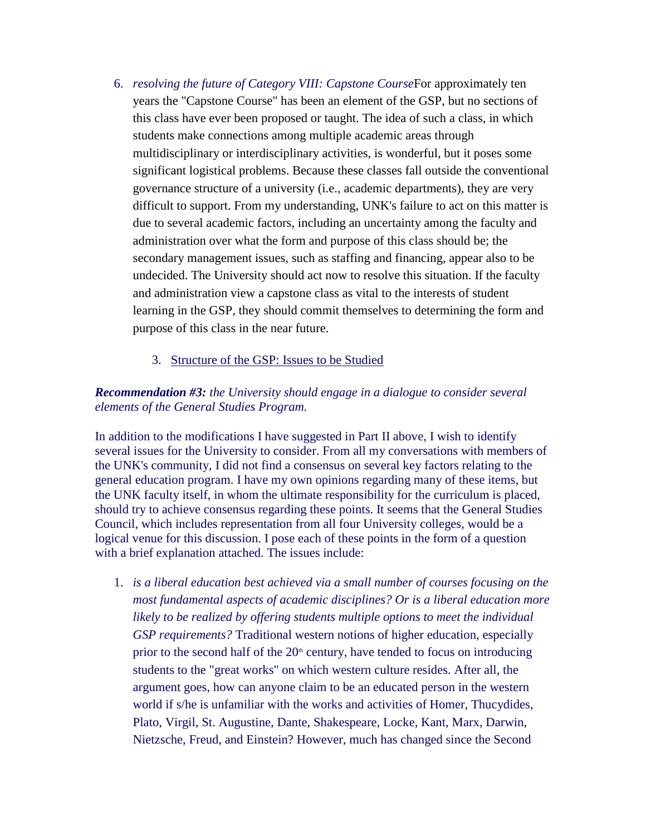- 6. *resolving the future of Category VIII: Capstone Course*For approximately ten years the "Capstone Course" has been an element of the GSP, but no sections of this class have ever been proposed or taught. The idea of such a class, in which students make connections among multiple academic areas through multidisciplinary or interdisciplinary activities, is wonderful, but it poses some significant logistical problems. Because these classes fall outside the conventional governance structure of a university (i.e., academic departments), they are very difficult to support. From my understanding, UNK's failure to act on this matter is due to several academic factors, including an uncertainty among the faculty and administration over what the form and purpose of this class should be; the secondary management issues, such as staffing and financing, appear also to be undecided. The University should act now to resolve this situation. If the faculty and administration view a capstone class as vital to the interests of student learning in the GSP, they should commit themselves to determining the form and purpose of this class in the near future.
	- 3. [Structure of the GSP: Issues to be Studied](http://aaunk.unk.edu/generalstudies/SelfStudyRpt/SelfStudyRpt4III.htm)

### *Recommendation #3: the University should engage in a dialogue to consider several elements of the General Studies Program.*

In addition to the modifications I have suggested in Part II above, I wish to identify several issues for the University to consider. From all my conversations with members of the UNK's community, I did not find a consensus on several key factors relating to the general education program. I have my own opinions regarding many of these items, but the UNK faculty itself, in whom the ultimate responsibility for the curriculum is placed, should try to achieve consensus regarding these points. It seems that the General Studies Council, which includes representation from all four University colleges, would be a logical venue for this discussion. I pose each of these points in the form of a question with a brief explanation attached. The issues include:

1. *is a liberal education best achieved via a small number of courses focusing on the most fundamental aspects of academic disciplines? Or is a liberal education more likely to be realized by offering students multiple options to meet the individual GSP requirements?* Traditional western notions of higher education, especially prior to the second half of the  $20<sup>th</sup>$  century, have tended to focus on introducing students to the "great works" on which western culture resides. After all, the argument goes, how can anyone claim to be an educated person in the western world if s/he is unfamiliar with the works and activities of Homer, Thucydides, Plato, Virgil, St. Augustine, Dante, Shakespeare, Locke, Kant, Marx, Darwin, Nietzsche, Freud, and Einstein? However, much has changed since the Second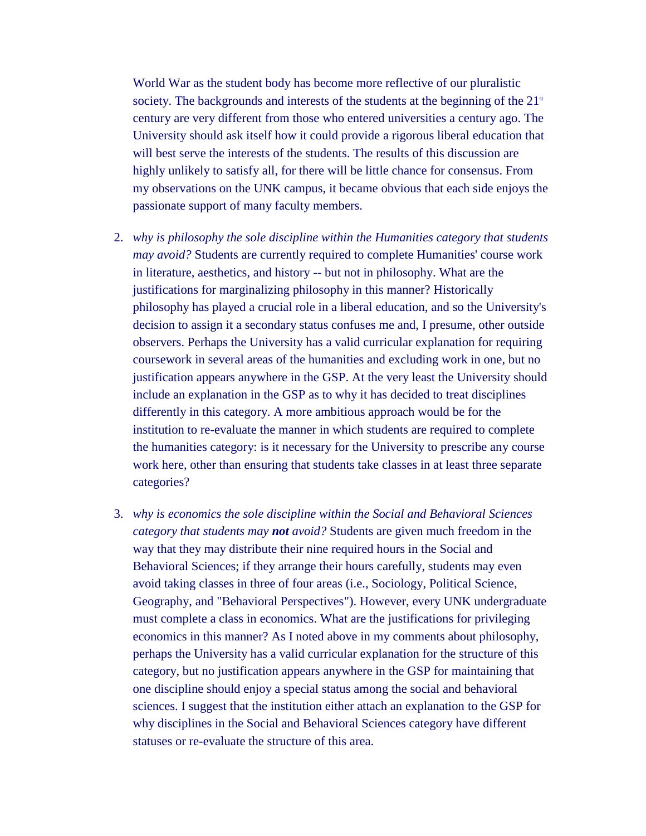World War as the student body has become more reflective of our pluralistic society. The backgrounds and interests of the students at the beginning of the  $21<sup>st</sup>$ century are very different from those who entered universities a century ago. The University should ask itself how it could provide a rigorous liberal education that will best serve the interests of the students. The results of this discussion are highly unlikely to satisfy all, for there will be little chance for consensus. From my observations on the UNK campus, it became obvious that each side enjoys the passionate support of many faculty members.

- 2. *why is philosophy the sole discipline within the Humanities category that students may avoid?* Students are currently required to complete Humanities' course work in literature, aesthetics, and history -- but not in philosophy. What are the justifications for marginalizing philosophy in this manner? Historically philosophy has played a crucial role in a liberal education, and so the University's decision to assign it a secondary status confuses me and, I presume, other outside observers. Perhaps the University has a valid curricular explanation for requiring coursework in several areas of the humanities and excluding work in one, but no justification appears anywhere in the GSP. At the very least the University should include an explanation in the GSP as to why it has decided to treat disciplines differently in this category. A more ambitious approach would be for the institution to re-evaluate the manner in which students are required to complete the humanities category: is it necessary for the University to prescribe any course work here, other than ensuring that students take classes in at least three separate categories?
- 3. *why is economics the sole discipline within the Social and Behavioral Sciences category that students may not avoid?* Students are given much freedom in the way that they may distribute their nine required hours in the Social and Behavioral Sciences; if they arrange their hours carefully, students may even avoid taking classes in three of four areas (i.e., Sociology, Political Science, Geography, and "Behavioral Perspectives"). However, every UNK undergraduate must complete a class in economics. What are the justifications for privileging economics in this manner? As I noted above in my comments about philosophy, perhaps the University has a valid curricular explanation for the structure of this category, but no justification appears anywhere in the GSP for maintaining that one discipline should enjoy a special status among the social and behavioral sciences. I suggest that the institution either attach an explanation to the GSP for why disciplines in the Social and Behavioral Sciences category have different statuses or re-evaluate the structure of this area.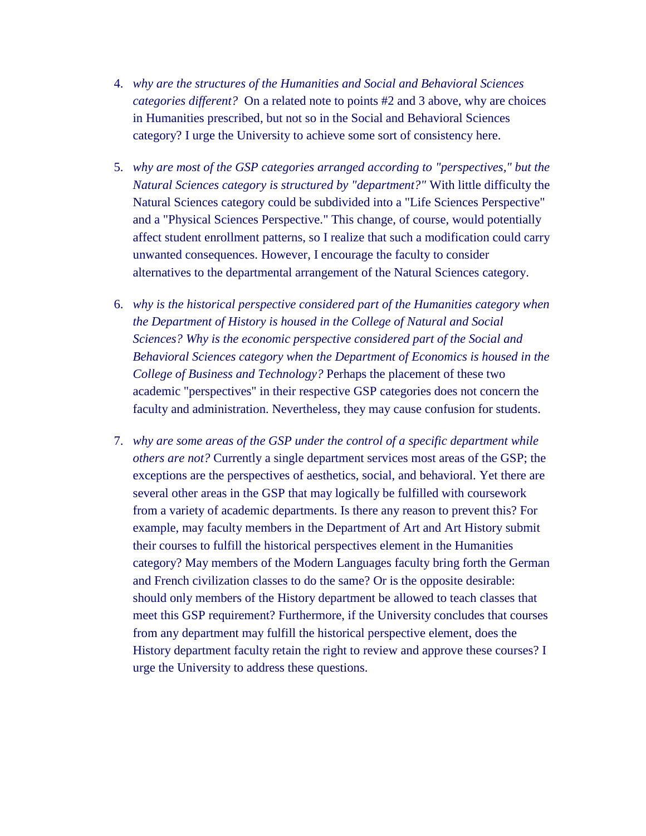- 4. *why are the structures of the Humanities and Social and Behavioral Sciences categories different?* On a related note to points #2 and 3 above, why are choices in Humanities prescribed, but not so in the Social and Behavioral Sciences category? I urge the University to achieve some sort of consistency here.
- 5. *why are most of the GSP categories arranged according to "perspectives," but the Natural Sciences category is structured by "department?"* With little difficulty the Natural Sciences category could be subdivided into a "Life Sciences Perspective" and a "Physical Sciences Perspective." This change, of course, would potentially affect student enrollment patterns, so I realize that such a modification could carry unwanted consequences. However, I encourage the faculty to consider alternatives to the departmental arrangement of the Natural Sciences category.
- 6. *why is the historical perspective considered part of the Humanities category when the Department of History is housed in the College of Natural and Social Sciences? Why is the economic perspective considered part of the Social and Behavioral Sciences category when the Department of Economics is housed in the College of Business and Technology?* Perhaps the placement of these two academic "perspectives" in their respective GSP categories does not concern the faculty and administration. Nevertheless, they may cause confusion for students.
- 7. *why are some areas of the GSP under the control of a specific department while others are not?* Currently a single department services most areas of the GSP; the exceptions are the perspectives of aesthetics, social, and behavioral. Yet there are several other areas in the GSP that may logically be fulfilled with coursework from a variety of academic departments. Is there any reason to prevent this? For example, may faculty members in the Department of Art and Art History submit their courses to fulfill the historical perspectives element in the Humanities category? May members of the Modern Languages faculty bring forth the German and French civilization classes to do the same? Or is the opposite desirable: should only members of the History department be allowed to teach classes that meet this GSP requirement? Furthermore, if the University concludes that courses from any department may fulfill the historical perspective element, does the History department faculty retain the right to review and approve these courses? I urge the University to address these questions.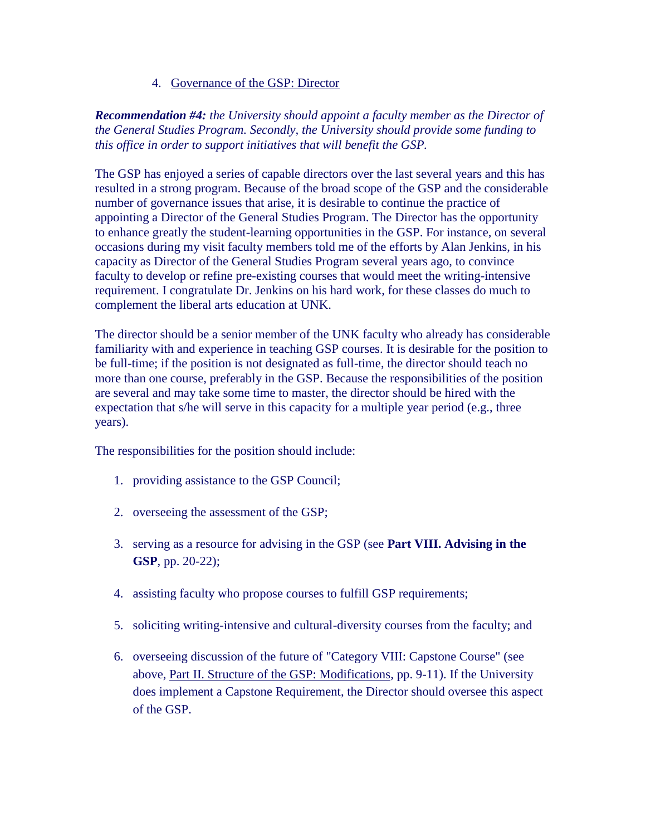### 4. [Governance of the GSP: Director](http://aaunk.unk.edu/generalstudies/SelfStudyRpt/SelfStudyRpt4IV.htm)

*Recommendation #4: the University should appoint a faculty member as the Director of the General Studies Program. Secondly, the University should provide some funding to this office in order to support initiatives that will benefit the GSP.*

The GSP has enjoyed a series of capable directors over the last several years and this has resulted in a strong program. Because of the broad scope of the GSP and the considerable number of governance issues that arise, it is desirable to continue the practice of appointing a Director of the General Studies Program. The Director has the opportunity to enhance greatly the student-learning opportunities in the GSP. For instance, on several occasions during my visit faculty members told me of the efforts by Alan Jenkins, in his capacity as Director of the General Studies Program several years ago, to convince faculty to develop or refine pre-existing courses that would meet the writing-intensive requirement. I congratulate Dr. Jenkins on his hard work, for these classes do much to complement the liberal arts education at UNK.

The director should be a senior member of the UNK faculty who already has considerable familiarity with and experience in teaching GSP courses. It is desirable for the position to be full-time; if the position is not designated as full-time, the director should teach no more than one course, preferably in the GSP. Because the responsibilities of the position are several and may take some time to master, the director should be hired with the expectation that s/he will serve in this capacity for a multiple year period (e.g., three years).

The responsibilities for the position should include:

- 1. providing assistance to the GSP Council;
- 2. overseeing the assessment of the GSP;
- 3. serving as a resource for advising in the GSP (see **Part VIII. Advising in the GSP**, pp. 20-22);
- 4. assisting faculty who propose courses to fulfill GSP requirements;
- 5. soliciting writing-intensive and cultural-diversity courses from the faculty; and
- 6. overseeing discussion of the future of "Category VIII: Capstone Course" (see above, [Part II. Structure of the GSP: Modifications,](http://aaunk.unk.edu/generalstudies/SelfStudyRpt/SelfStudyRpt4II.htm) pp. 9-11). If the University does implement a Capstone Requirement, the Director should oversee this aspect of the GSP.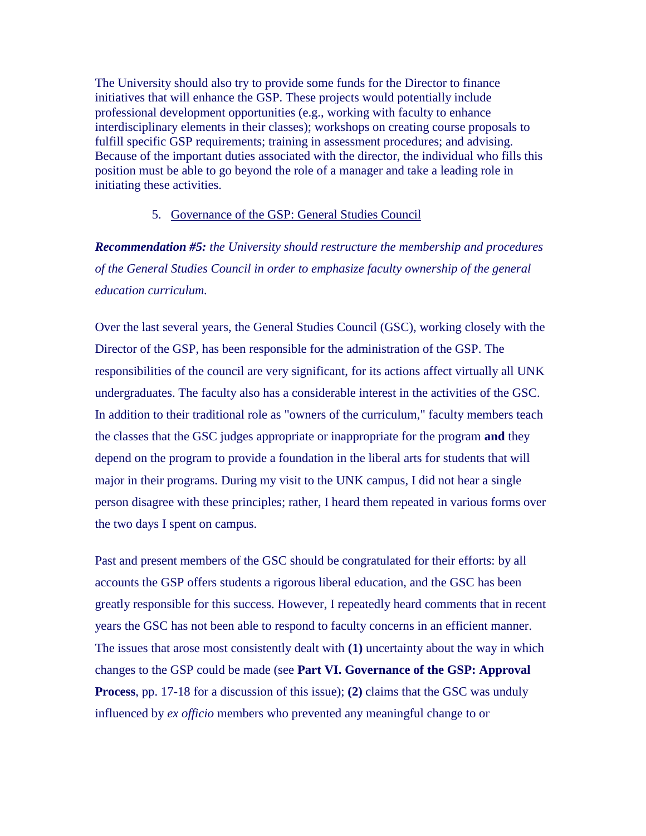The University should also try to provide some funds for the Director to finance initiatives that will enhance the GSP. These projects would potentially include professional development opportunities (e.g., working with faculty to enhance interdisciplinary elements in their classes); workshops on creating course proposals to fulfill specific GSP requirements; training in assessment procedures; and advising. Because of the important duties associated with the director, the individual who fills this position must be able to go beyond the role of a manager and take a leading role in initiating these activities.

#### 5. [Governance of the GSP: General Studies Council](http://aaunk.unk.edu/generalstudies/SelfStudyRpt/SelfStudyRpt4V.htm)

*Recommendation #5: the University should restructure the membership and procedures of the General Studies Council in order to emphasize faculty ownership of the general education curriculum.*

Over the last several years, the General Studies Council (GSC), working closely with the Director of the GSP, has been responsible for the administration of the GSP. The responsibilities of the council are very significant, for its actions affect virtually all UNK undergraduates. The faculty also has a considerable interest in the activities of the GSC. In addition to their traditional role as "owners of the curriculum," faculty members teach the classes that the GSC judges appropriate or inappropriate for the program **and** they depend on the program to provide a foundation in the liberal arts for students that will major in their programs. During my visit to the UNK campus, I did not hear a single person disagree with these principles; rather, I heard them repeated in various forms over the two days I spent on campus.

Past and present members of the GSC should be congratulated for their efforts: by all accounts the GSP offers students a rigorous liberal education, and the GSC has been greatly responsible for this success. However, I repeatedly heard comments that in recent years the GSC has not been able to respond to faculty concerns in an efficient manner. The issues that arose most consistently dealt with **(1)** uncertainty about the way in which changes to the GSP could be made (see **Part VI. Governance of the GSP: Approval Process**, pp. 17-18 for a discussion of this issue); **(2)** claims that the GSC was unduly influenced by *ex officio* members who prevented any meaningful change to or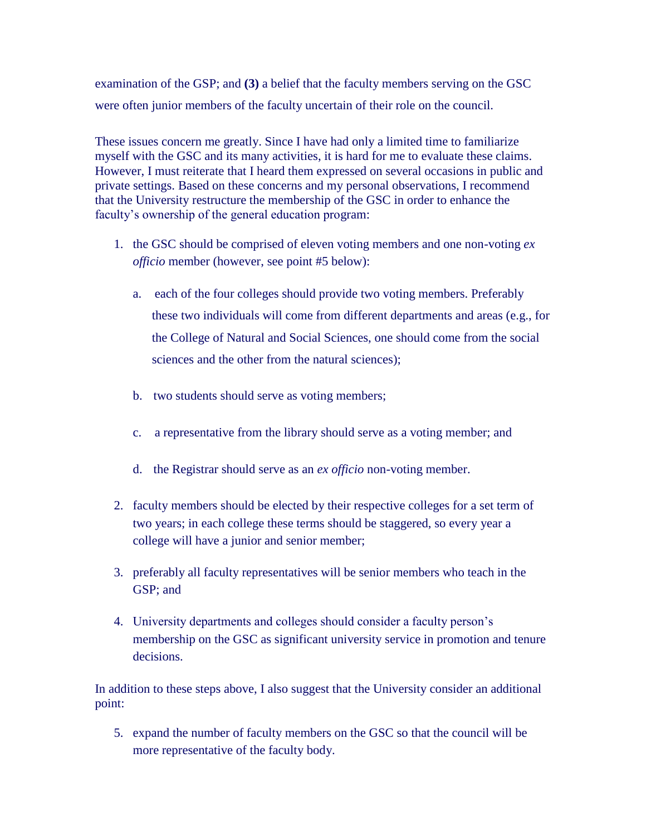examination of the GSP; and **(3)** a belief that the faculty members serving on the GSC were often junior members of the faculty uncertain of their role on the council.

These issues concern me greatly. Since I have had only a limited time to familiarize myself with the GSC and its many activities, it is hard for me to evaluate these claims. However, I must reiterate that I heard them expressed on several occasions in public and private settings. Based on these concerns and my personal observations, I recommend that the University restructure the membership of the GSC in order to enhance the faculty's ownership of the general education program:

- 1. the GSC should be comprised of eleven voting members and one non-voting *ex officio* member (however, see point #5 below):
	- a. each of the four colleges should provide two voting members. Preferably these two individuals will come from different departments and areas (e.g., for the College of Natural and Social Sciences, one should come from the social sciences and the other from the natural sciences);
	- b. two students should serve as voting members;
	- c. a representative from the library should serve as a voting member; and
	- d. the Registrar should serve as an *ex officio* non-voting member.
- 2. faculty members should be elected by their respective colleges for a set term of two years; in each college these terms should be staggered, so every year a college will have a junior and senior member;
- 3. preferably all faculty representatives will be senior members who teach in the GSP; and
- 4. University departments and colleges should consider a faculty person's membership on the GSC as significant university service in promotion and tenure decisions.

In addition to these steps above, I also suggest that the University consider an additional point:

5. expand the number of faculty members on the GSC so that the council will be more representative of the faculty body.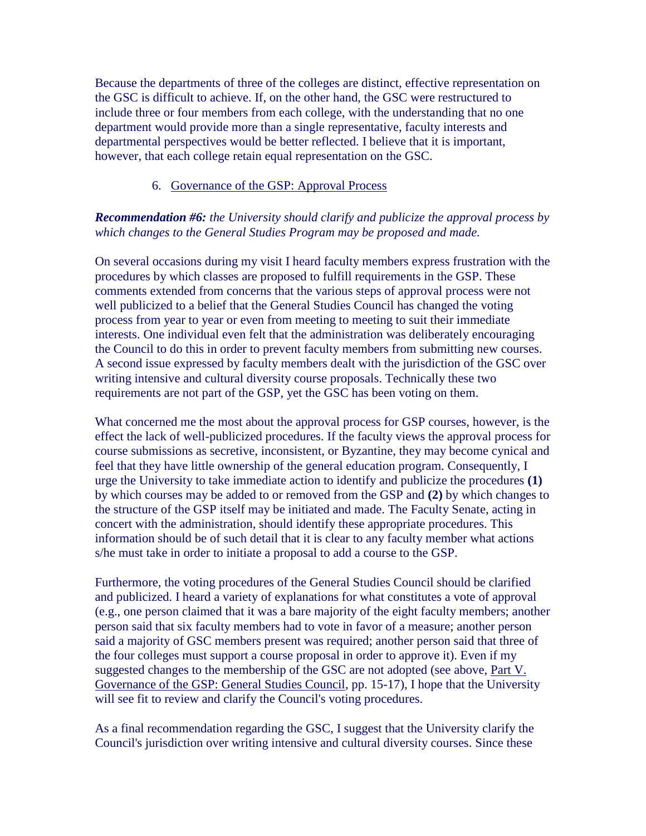Because the departments of three of the colleges are distinct, effective representation on the GSC is difficult to achieve. If, on the other hand, the GSC were restructured to include three or four members from each college, with the understanding that no one department would provide more than a single representative, faculty interests and departmental perspectives would be better reflected. I believe that it is important, however, that each college retain equal representation on the GSC.

#### 6. [Governance of the GSP: Approval Process](http://aaunk.unk.edu/generalstudies/SelfStudyRpt/SelfStudyRpt4VI.htm)

### *Recommendation #6: the University should clarify and publicize the approval process by which changes to the General Studies Program may be proposed and made.*

On several occasions during my visit I heard faculty members express frustration with the procedures by which classes are proposed to fulfill requirements in the GSP. These comments extended from concerns that the various steps of approval process were not well publicized to a belief that the General Studies Council has changed the voting process from year to year or even from meeting to meeting to suit their immediate interests. One individual even felt that the administration was deliberately encouraging the Council to do this in order to prevent faculty members from submitting new courses. A second issue expressed by faculty members dealt with the jurisdiction of the GSC over writing intensive and cultural diversity course proposals. Technically these two requirements are not part of the GSP, yet the GSC has been voting on them.

What concerned me the most about the approval process for GSP courses, however, is the effect the lack of well-publicized procedures. If the faculty views the approval process for course submissions as secretive, inconsistent, or Byzantine, they may become cynical and feel that they have little ownership of the general education program. Consequently, I urge the University to take immediate action to identify and publicize the procedures **(1)** by which courses may be added to or removed from the GSP and **(2)** by which changes to the structure of the GSP itself may be initiated and made. The Faculty Senate, acting in concert with the administration, should identify these appropriate procedures. This information should be of such detail that it is clear to any faculty member what actions s/he must take in order to initiate a proposal to add a course to the GSP.

Furthermore, the voting procedures of the General Studies Council should be clarified and publicized. I heard a variety of explanations for what constitutes a vote of approval (e.g., one person claimed that it was a bare majority of the eight faculty members; another person said that six faculty members had to vote in favor of a measure; another person said a majority of GSC members present was required; another person said that three of the four colleges must support a course proposal in order to approve it). Even if my suggested changes to the membership of the GSC are not adopted (see above, [Part V.](http://aaunk.unk.edu/generalstudies/SelfStudyRpt/SelfStudyRpt4V.htm)  [Governance of the GSP: General Studies Council,](http://aaunk.unk.edu/generalstudies/SelfStudyRpt/SelfStudyRpt4V.htm) pp. 15-17), I hope that the University will see fit to review and clarify the Council's voting procedures.

As a final recommendation regarding the GSC, I suggest that the University clarify the Council's jurisdiction over writing intensive and cultural diversity courses. Since these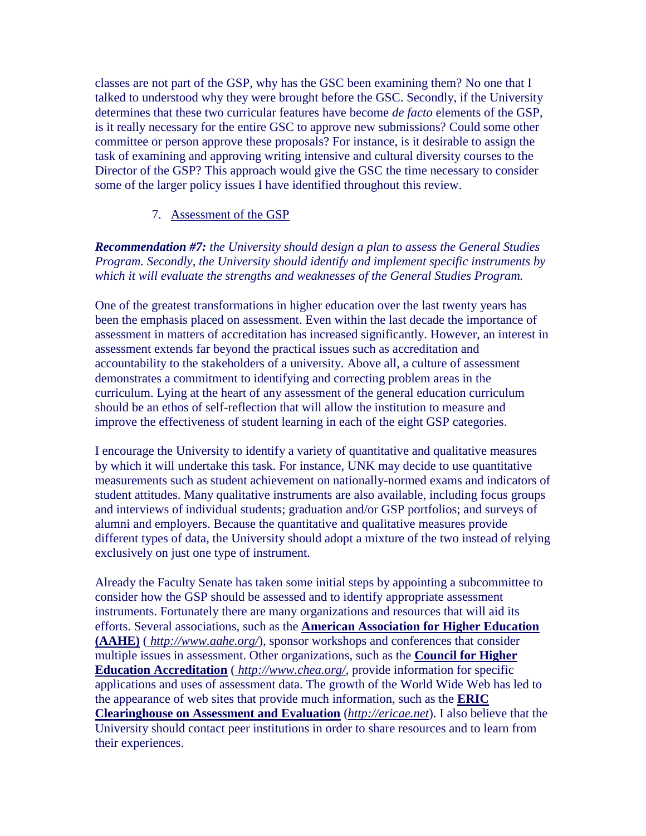classes are not part of the GSP, why has the GSC been examining them? No one that I talked to understood why they were brought before the GSC. Secondly, if the University determines that these two curricular features have become *de facto* elements of the GSP, is it really necessary for the entire GSC to approve new submissions? Could some other committee or person approve these proposals? For instance, is it desirable to assign the task of examining and approving writing intensive and cultural diversity courses to the Director of the GSP? This approach would give the GSC the time necessary to consider some of the larger policy issues I have identified throughout this review.

### 7. [Assessment of the GSP](http://aaunk.unk.edu/generalstudies/SelfStudyRpt/SelfStudyRpt4VII.htm)

*Recommendation #7: the University should design a plan to assess the General Studies Program. Secondly, the University should identify and implement specific instruments by which it will evaluate the strengths and weaknesses of the General Studies Program.*

One of the greatest transformations in higher education over the last twenty years has been the emphasis placed on assessment. Even within the last decade the importance of assessment in matters of accreditation has increased significantly. However, an interest in assessment extends far beyond the practical issues such as accreditation and accountability to the stakeholders of a university. Above all, a culture of assessment demonstrates a commitment to identifying and correcting problem areas in the curriculum. Lying at the heart of any assessment of the general education curriculum should be an ethos of self-reflection that will allow the institution to measure and improve the effectiveness of student learning in each of the eight GSP categories.

I encourage the University to identify a variety of quantitative and qualitative measures by which it will undertake this task. For instance, UNK may decide to use quantitative measurements such as student achievement on nationally-normed exams and indicators of student attitudes. Many qualitative instruments are also available, including focus groups and interviews of individual students; graduation and/or GSP portfolios; and surveys of alumni and employers. Because the quantitative and qualitative measures provide different types of data, the University should adopt a mixture of the two instead of relying exclusively on just one type of instrument.

Already the Faculty Senate has taken some initial steps by appointing a subcommittee to consider how the GSP should be assessed and to identify appropriate assessment instruments. Fortunately there are many organizations and resources that will aid its efforts. Several associations, such as the **[American Association for Higher Education](http://www.aahe.org/)  [\(AAHE\)](http://www.aahe.org/)** ( *<http://www.aahe.org/>*), sponsor workshops and conferences that consider multiple issues in assessment. Other organizations, such as the **[Council for Higher](http://www.chea.org/)  [Education Accreditation](http://www.chea.org/)** ( *<http://www.chea.org/>*, provide information for specific applications and uses of assessment data. The growth of the World Wide Web has led to the appearance of web sites that provide much information, such as the **[ERIC](http://ericae.net/)  [Clearinghouse on Assessment and Evaluation](http://ericae.net/)** (*[http://ericae.net](http://ericae.net/)*). I also believe that the University should contact peer institutions in order to share resources and to learn from their experiences.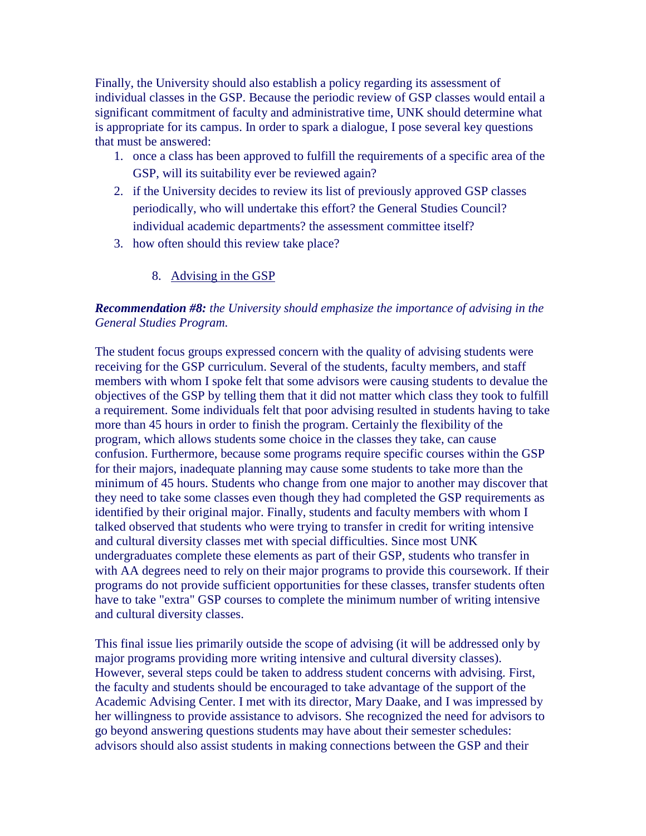Finally, the University should also establish a policy regarding its assessment of individual classes in the GSP. Because the periodic review of GSP classes would entail a significant commitment of faculty and administrative time, UNK should determine what is appropriate for its campus. In order to spark a dialogue, I pose several key questions that must be answered:

- 1. once a class has been approved to fulfill the requirements of a specific area of the GSP, will its suitability ever be reviewed again?
- 2. if the University decides to review its list of previously approved GSP classes periodically, who will undertake this effort? the General Studies Council? individual academic departments? the assessment committee itself?
- 3. how often should this review take place?
	- 8. [Advising in the GSP](http://aaunk.unk.edu/generalstudies/SelfStudyRpt/SelfStudyRpt4VIII.htm)

## *Recommendation #8: the University should emphasize the importance of advising in the General Studies Program.*

The student focus groups expressed concern with the quality of advising students were receiving for the GSP curriculum. Several of the students, faculty members, and staff members with whom I spoke felt that some advisors were causing students to devalue the objectives of the GSP by telling them that it did not matter which class they took to fulfill a requirement. Some individuals felt that poor advising resulted in students having to take more than 45 hours in order to finish the program. Certainly the flexibility of the program, which allows students some choice in the classes they take, can cause confusion. Furthermore, because some programs require specific courses within the GSP for their majors, inadequate planning may cause some students to take more than the minimum of 45 hours. Students who change from one major to another may discover that they need to take some classes even though they had completed the GSP requirements as identified by their original major. Finally, students and faculty members with whom I talked observed that students who were trying to transfer in credit for writing intensive and cultural diversity classes met with special difficulties. Since most UNK undergraduates complete these elements as part of their GSP, students who transfer in with AA degrees need to rely on their major programs to provide this coursework. If their programs do not provide sufficient opportunities for these classes, transfer students often have to take "extra" GSP courses to complete the minimum number of writing intensive and cultural diversity classes.

This final issue lies primarily outside the scope of advising (it will be addressed only by major programs providing more writing intensive and cultural diversity classes). However, several steps could be taken to address student concerns with advising. First, the faculty and students should be encouraged to take advantage of the support of the Academic Advising Center. I met with its director, Mary Daake, and I was impressed by her willingness to provide assistance to advisors. She recognized the need for advisors to go beyond answering questions students may have about their semester schedules: advisors should also assist students in making connections between the GSP and their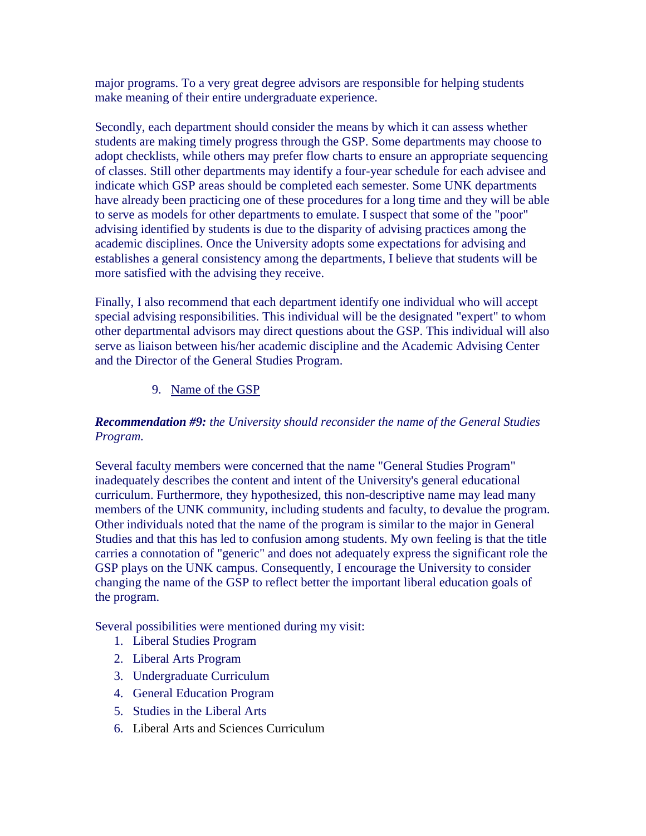major programs. To a very great degree advisors are responsible for helping students make meaning of their entire undergraduate experience.

Secondly, each department should consider the means by which it can assess whether students are making timely progress through the GSP. Some departments may choose to adopt checklists, while others may prefer flow charts to ensure an appropriate sequencing of classes. Still other departments may identify a four-year schedule for each advisee and indicate which GSP areas should be completed each semester. Some UNK departments have already been practicing one of these procedures for a long time and they will be able to serve as models for other departments to emulate. I suspect that some of the "poor" advising identified by students is due to the disparity of advising practices among the academic disciplines. Once the University adopts some expectations for advising and establishes a general consistency among the departments, I believe that students will be more satisfied with the advising they receive.

Finally, I also recommend that each department identify one individual who will accept special advising responsibilities. This individual will be the designated "expert" to whom other departmental advisors may direct questions about the GSP. This individual will also serve as liaison between his/her academic discipline and the Academic Advising Center and the Director of the General Studies Program.

## 9. [Name of the GSP](http://aaunk.unk.edu/generalstudies/SelfStudyRpt/SelfStudyRpt4IX.htm)

## *Recommendation #9: the University should reconsider the name of the General Studies Program.*

Several faculty members were concerned that the name "General Studies Program" inadequately describes the content and intent of the University's general educational curriculum. Furthermore, they hypothesized, this non-descriptive name may lead many members of the UNK community, including students and faculty, to devalue the program. Other individuals noted that the name of the program is similar to the major in General Studies and that this has led to confusion among students. My own feeling is that the title carries a connotation of "generic" and does not adequately express the significant role the GSP plays on the UNK campus. Consequently, I encourage the University to consider changing the name of the GSP to reflect better the important liberal education goals of the program.

Several possibilities were mentioned during my visit:

- 1. Liberal Studies Program
- 2. Liberal Arts Program
- 3. Undergraduate Curriculum
- 4. General Education Program
- 5. Studies in the Liberal Arts
- 6. Liberal Arts and Sciences Curriculum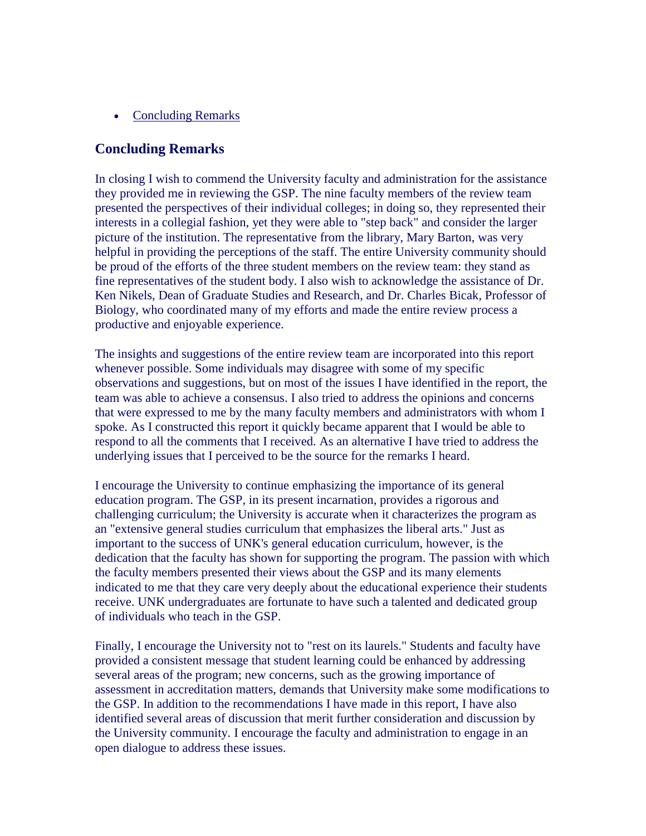• [Concluding Remarks](http://aaunk.unk.edu/generalstudies/SelfStudyRpt/SelfStudyRpt5.htm)

## **Concluding Remarks**

In closing I wish to commend the University faculty and administration for the assistance they provided me in reviewing the GSP. The nine faculty members of the review team presented the perspectives of their individual colleges; in doing so, they represented their interests in a collegial fashion, yet they were able to "step back" and consider the larger picture of the institution. The representative from the library, Mary Barton, was very helpful in providing the perceptions of the staff. The entire University community should be proud of the efforts of the three student members on the review team: they stand as fine representatives of the student body. I also wish to acknowledge the assistance of Dr. Ken Nikels, Dean of Graduate Studies and Research, and Dr. Charles Bicak, Professor of Biology, who coordinated many of my efforts and made the entire review process a productive and enjoyable experience.

The insights and suggestions of the entire review team are incorporated into this report whenever possible. Some individuals may disagree with some of my specific observations and suggestions, but on most of the issues I have identified in the report, the team was able to achieve a consensus. I also tried to address the opinions and concerns that were expressed to me by the many faculty members and administrators with whom I spoke. As I constructed this report it quickly became apparent that I would be able to respond to all the comments that I received. As an alternative I have tried to address the underlying issues that I perceived to be the source for the remarks I heard.

I encourage the University to continue emphasizing the importance of its general education program. The GSP, in its present incarnation, provides a rigorous and challenging curriculum; the University is accurate when it characterizes the program as an "extensive general studies curriculum that emphasizes the liberal arts." Just as important to the success of UNK's general education curriculum, however, is the dedication that the faculty has shown for supporting the program. The passion with which the faculty members presented their views about the GSP and its many elements indicated to me that they care very deeply about the educational experience their students receive. UNK undergraduates are fortunate to have such a talented and dedicated group of individuals who teach in the GSP.

Finally, I encourage the University not to "rest on its laurels." Students and faculty have provided a consistent message that student learning could be enhanced by addressing several areas of the program; new concerns, such as the growing importance of assessment in accreditation matters, demands that University make some modifications to the GSP. In addition to the recommendations I have made in this report, I have also identified several areas of discussion that merit further consideration and discussion by the University community. I encourage the faculty and administration to engage in an open dialogue to address these issues.